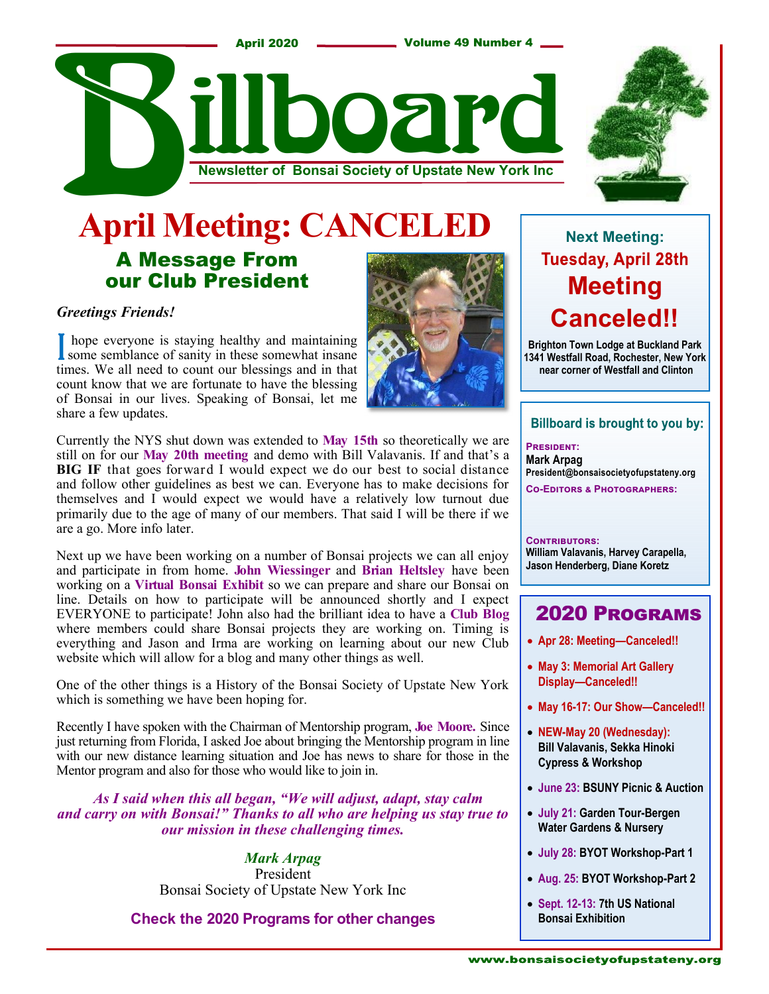

### A Message From our Club President **April Meeting: CANCELE**

#### *Greetings Friends!*

I hope everyone is staying healthy and maintaining<br>some semblance of sanity in these somewhat insane some semblance of sanity in these somewhat insane times. We all need to count our blessings and in that count know that we are fortunate to have the blessing of Bonsai in our lives. Speaking of Bonsai, let me share a few updates.

Currently the NYS shut down was extended to **May 15th** so theoretically we are still on for our **May 20th meeting** and demo with Bill Valavanis. If and that's a **BIG IF** that goes forward I would expect we do our best to social distance and follow other guidelines as best we can. Everyone has to make decisions for themselves and I would expect we would have a relatively low turnout due primarily due to the age of many of our members. That said I will be there if we are a go. More info later.

Next up we have been working on a number of Bonsai projects we can all enjoy and participate in from home. **John Wiessinger** and **Brian Heltsley** have been working on a **Virtual Bonsai Exhibit** so we can prepare and share our Bonsai on line. Details on how to participate will be announced shortly and I expect EVERYONE to participate! John also had the brilliant idea to have a **Club Blog**  where members could share Bonsai projects they are working on. Timing is everything and Jason and Irma are working on learning about our new Club website which will allow for a blog and many other things as well.

One of the other things is a History of the Bonsai Society of Upstate New York which is something we have been hoping for.

Recently I have spoken with the Chairman of Mentorship program, **Joe Moore.** Since just returning from Florida, I asked Joe about bringing the Mentorship program in line with our new distance learning situation and Joe has news to share for those in the Mentor program and also for those who would like to join in.

 *As I said when this all began, "We will adjust, adapt, stay calm and carry on with Bonsai!" Thanks to all who are helping us stay true to our mission in these challenging times.* 

> *Mark Arpag* President Bonsai Society of Upstate New York Inc

**Check the 2020 Programs for other changes**

j



### **Next Meeting: Tuesday, April 28th Meeting Canceled!!**

**Brighton Town Lodge at Buckland Park 1341 Westfall Road, Rochester, New York near corner of Westfall and Clinton**

#### **Billboard is brought to you by:**

**PRESIDENT: Mark Arpag President@bonsaisocietyofupstateny.org CO-EDITORS & PHOTOGRAPHERS:** 

#### CONTRIBUTORS: **William Valavanis, Harvey Carapella, Jason Henderberg, Diane Koretz**

### **2020 PROGRAMS**

- **Apr 28: Meeting—Canceled!!**
- **May 3: Memorial Art Gallery Display—Canceled!!**
- **May 16-17: Our Show—Canceled!!**
- **NEW-May 20 (Wednesday): Bill Valavanis, Sekka Hinoki Cypress & Workshop**
- **June 23: BSUNY Picnic & Auction**
- **July 21: Garden Tour-Bergen Water Gardens & Nursery**
- **July 28: BYOT Workshop-Part 1**
- **Aug. 25: BYOT Workshop-Part 2**
- **Sept. 12-13: 7th US National Bonsai Exhibition**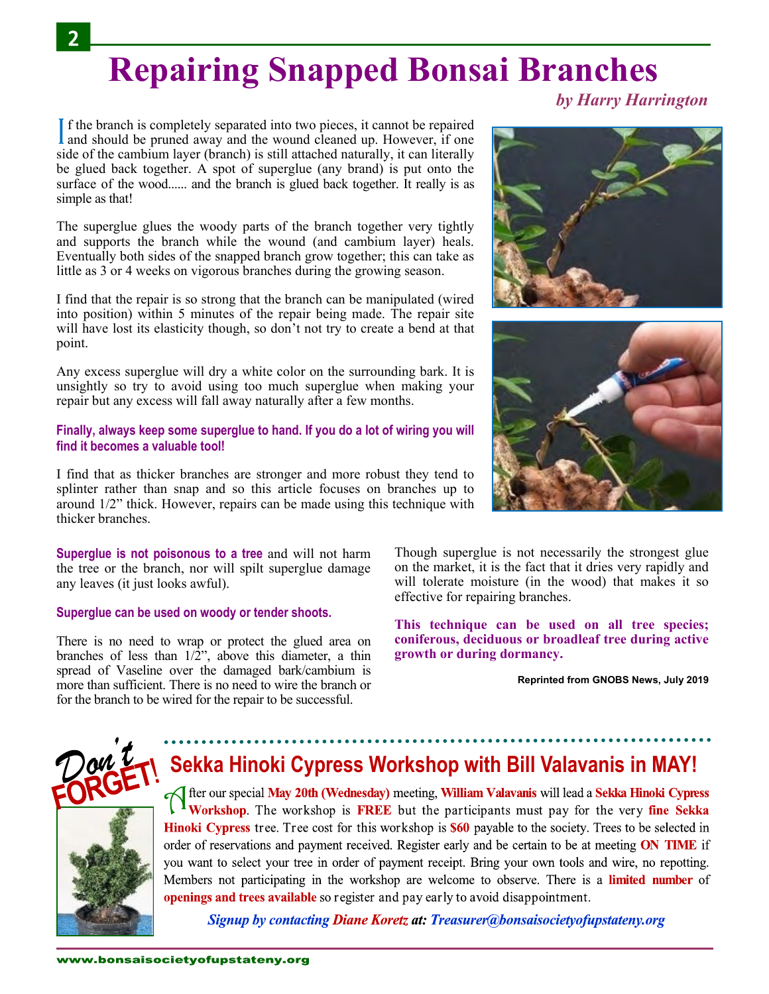## **Repairing Snapped Bonsai Branches**

*by Harry Harrington* 

If the branch is completely separated into two pieces, it cannot be repaired and should be pruned away and the wound cleaned up. However, if one f the branch is completely separated into two pieces, it cannot be repaired side of the cambium layer (branch) is still attached naturally, it can literally be glued back together. A spot of superglue (any brand) is put onto the surface of the wood...... and the branch is glued back together. It really is as simple as that!

The superglue glues the woody parts of the branch together very tightly and supports the branch while the wound (and cambium layer) heals. Eventually both sides of the snapped branch grow together; this can take as little as 3 or 4 weeks on vigorous branches during the growing season.

I find that the repair is so strong that the branch can be manipulated (wired into position) within 5 minutes of the repair being made. The repair site will have lost its elasticity though, so don't not try to create a bend at that point.

Any excess superglue will dry a white color on the surrounding bark. It is unsightly so try to avoid using too much superglue when making your repair but any excess will fall away naturally after a few months.

#### **Finally, always keep some superglue to hand. If you do a lot of wiring you will find it becomes a valuable tool!**

I find that as thicker branches are stronger and more robust they tend to splinter rather than snap and so this article focuses on branches up to around 1/2" thick. However, repairs can be made using this technique with thicker branches.

**Superglue is not poisonous to a tree** and will not harm the tree or the branch, nor will spilt superglue damage any leaves (it just looks awful).

#### **Superglue can be used on woody or tender shoots.**

There is no need to wrap or protect the glued area on branches of less than  $1/\overline{2}$ ", above this diameter, a thin spread of Vaseline over the damaged bark/cambium is more than sufficient. There is no need to wire the branch or for the branch to be wired for the repair to be successful.





Though superglue is not necessarily the strongest glue on the market, it is the fact that it dries very rapidly and will tolerate moisture (in the wood) that makes it so effective for repairing branches.

**This technique can be used on all tree species; coniferous, deciduous or broadleaf tree during active growth or during dormancy.**

**Reprinted from GNOBS News, July 2019**



## **Sekka Hinoki Cypress Workshop with Bill Valavanis in MAY!**

on fter our special May 20th (Wednesday) meeting, William Valavanis will lead a Sekka Hinoki Cypress Workshop. The workshop is FREE but the participants must pay for the very fine Sekka Hinoki Cypress tree. Tree cost for this workshop is \$60 payable to the society. Trees to be selected in order of reservations and payment received. Register early and be certain to be at meeting ON TIME if you want to select your tree in order of payment receipt. Bring your own tools and wire, no repotting. Members not participating in the workshop are welcome to observe. There is a **limited number** of openings and trees available so register and pay early to avoid disappointment.

**Signup by contacting Diane Koretz at: Treasurer@bonsaisocietyofupstateny.org**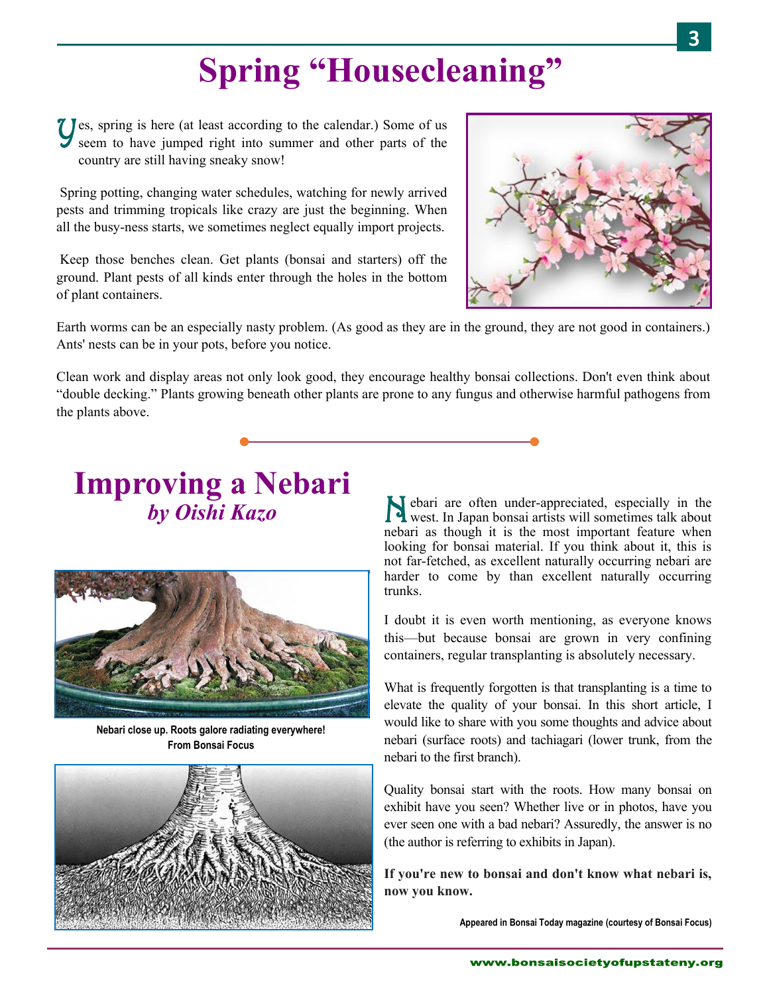## **Spring "Housecleaning"**

Y es, spring is here (at least according to the calendar.) Some of us seem to have jumped right into summer and other parts of the country are still having sneaky snow!

Spring potting, changing water schedules, watching for newly arrived pests and trimming tropicals like crazy are just the beginning. When all the busy-ness starts, we sometimes neglect equally import projects.

Keep those benches clean. Get plants (bonsai and starters) off the ground. Plant pests of all kinds enter through the holes in the bottom of plant containers.



Earth worms can be an especially nasty problem. (As good as they are in the ground, they are not good in containers.) Ants' nests can be in your pots, before you notice.

Clean work and display areas not only look good, they encourage healthy bonsai collections. Don't even think about "double decking." Plants growing beneath other plants are prone to any fungus and otherwise harmful pathogens from the plants above.

### **Improving a Nebari by Oishi Kazo**



**Nebari close up. Roots galore radiating everywhere! From Bonsai Focus**



ebari are often under-appreciated, especially in the west. In Japan bonsai artists will sometimes talk about nebari as though it is the most important feature when looking for bonsai material. If you think about it, this is not far-fetched, as excellent naturally occurring nebari are harder to come by than excellent naturally occurring trunks.

I doubt it is even worth mentioning, as everyone knows this—but because bonsai are grown in very confining containers, regular transplanting is absolutely necessary.

What is frequently forgotten is that transplanting is a time to elevate the quality of your bonsai. In this short article, I would like to share with you some thoughts and advice about nebari (surface roots) and tachiagari (lower trunk, from the nebari to the first branch).

Quality bonsai start with the roots. How many bonsai on exhibit have you seen? Whether live or in photos, have you ever seen one with a bad nebari? Assuredly, the answer is no (the author is referring to exhibits in Japan).

**If you're new to bonsai and don't know what nebari is, now you know.**

**Appeared in Bonsai Today magazine (courtesy of Bonsai Focus)**